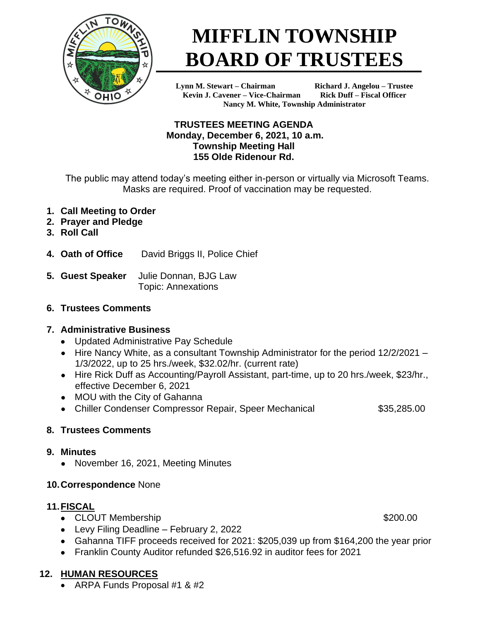

# **MIFFLIN TOWNSHIP BOARD OF TRUSTEES**

**Lynn M. Stewart – Chairman Richard J. Angelou – Trustee Kevin J. Cavener – Vice-Chairman Rick Duff – Fiscal Officer Nancy M. White, Township Administrator**

# **TRUSTEES MEETING AGENDA Monday, December 6, 2021, 10 a.m. Township Meeting Hall 155 Olde Ridenour Rd.**

The public may attend today's meeting either in-person or virtually via Microsoft Teams. Masks are required. Proof of vaccination may be requested.

- **1. Call Meeting to Order**
- **2. Prayer and Pledge**
- **3. Roll Call**
- **4. Oath of Office** David Briggs II, Police Chief
- **5. Guest Speaker** Julie Donnan, BJG Law Topic: Annexations
- **6. Trustees Comments**

# **7. Administrative Business**

- Updated Administrative Pay Schedule
- Hire Nancy White, as a consultant Township Administrator for the period 12/2/2021 1/3/2022, up to 25 hrs./week, \$32.02/hr. (current rate)
- Hire Rick Duff as Accounting/Payroll Assistant, part-time, up to 20 hrs./week, \$23/hr., effective December 6, 2021
- MOU with the City of Gahanna
- Chiller Condenser Compressor Repair, Speer Mechanical **\$35,285.00**

# **8. Trustees Comments**

# **9. Minutes**

• November 16, 2021, Meeting Minutes

# **10.Correspondence** None

# **11.FISCAL**

- CLOUT Membership  $$200.00$
- Levy Filing Deadline February 2, 2022
- Gahanna TIFF proceeds received for 2021: \$205,039 up from \$164,200 the year prior
- Franklin County Auditor refunded \$26,516.92 in auditor fees for 2021

# **12. HUMAN RESOURCES**

• ARPA Funds Proposal #1 & #2